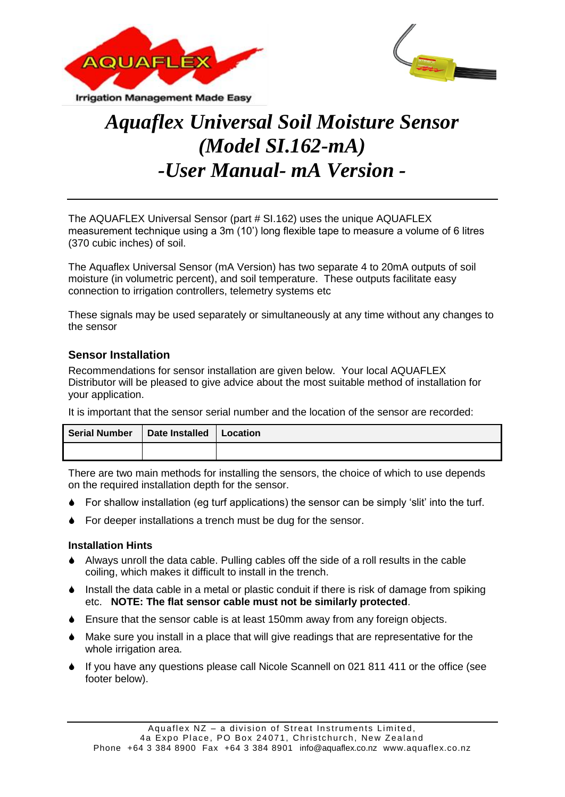



# *Aquaflex Universal Soil Moisture Sensor (Model SI.162-mA) -User Manual- mA Version -*

The AQUAFLEX Universal Sensor (part # SI.162) uses the unique AQUAFLEX measurement technique using a 3m (10') long flexible tape to measure a volume of 6 litres (370 cubic inches) of soil.

The Aquaflex Universal Sensor (mA Version) has two separate 4 to 20mA outputs of soil moisture (in volumetric percent), and soil temperature. These outputs facilitate easy connection to irrigation controllers, telemetry systems etc

These signals may be used separately or simultaneously at any time without any changes to the sensor

# **Sensor Installation**

Recommendations for sensor installation are given below. Your local AQUAFLEX Distributor will be pleased to give advice about the most suitable method of installation for your application.

It is important that the sensor serial number and the location of the sensor are recorded:

| <b>Serial Number</b> | Date Installed | Location |
|----------------------|----------------|----------|
|                      |                |          |

There are two main methods for installing the sensors, the choice of which to use depends on the required installation depth for the sensor.

- For shallow installation (eg turf applications) the sensor can be simply 'slit' into the turf.
- For deeper installations a trench must be dug for the sensor.

# **Installation Hints**

- Always unroll the data cable. Pulling cables off the side of a roll results in the cable coiling, which makes it difficult to install in the trench.
- $\bullet$  Install the data cable in a metal or plastic conduit if there is risk of damage from spiking etc. **NOTE: The flat sensor cable must not be similarly protected**.
- Ensure that the sensor cable is at least 150mm away from any foreign objects.
- Make sure you install in a place that will give readings that are representative for the whole irrigation area.
- If you have any questions please call Nicole Scannell on 021 811 411 or the office (see footer below).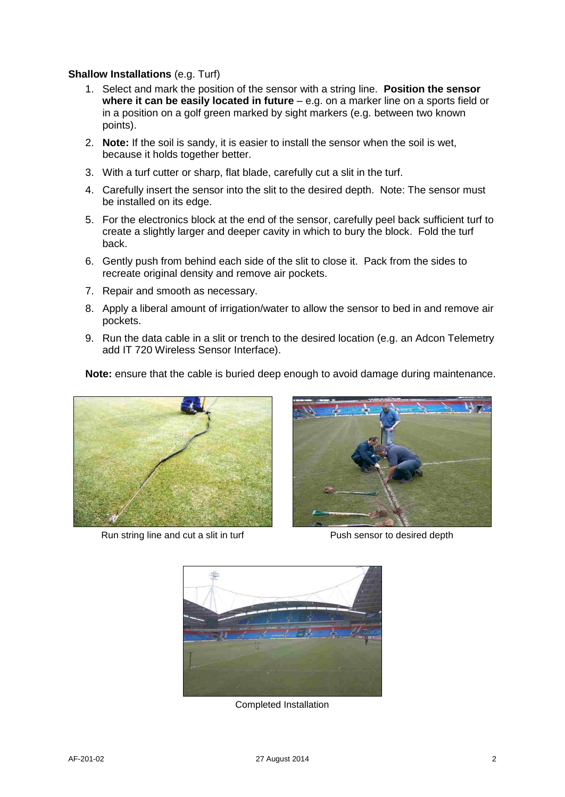#### **Shallow Installations** (e.g. Turf)

- 1. Select and mark the position of the sensor with a string line. **Position the sensor where it can be easily located in future** – e.g. on a marker line on a sports field or in a position on a golf green marked by sight markers (e.g. between two known points).
- 2. **Note:** If the soil is sandy, it is easier to install the sensor when the soil is wet, because it holds together better.
- 3. With a turf cutter or sharp, flat blade, carefully cut a slit in the turf.
- 4. Carefully insert the sensor into the slit to the desired depth. Note: The sensor must be installed on its edge.
- 5. For the electronics block at the end of the sensor, carefully peel back sufficient turf to create a slightly larger and deeper cavity in which to bury the block. Fold the turf back.
- 6. Gently push from behind each side of the slit to close it. Pack from the sides to recreate original density and remove air pockets.
- 7. Repair and smooth as necessary.
- 8. Apply a liberal amount of irrigation/water to allow the sensor to bed in and remove air pockets.
- 9. Run the data cable in a slit or trench to the desired location (e.g. an Adcon Telemetry add IT 720 Wireless Sensor Interface).

**Note:** ensure that the cable is buried deep enough to avoid damage during maintenance.



Run string line and cut a slit in turf Push sensor to desired depth





Completed Installation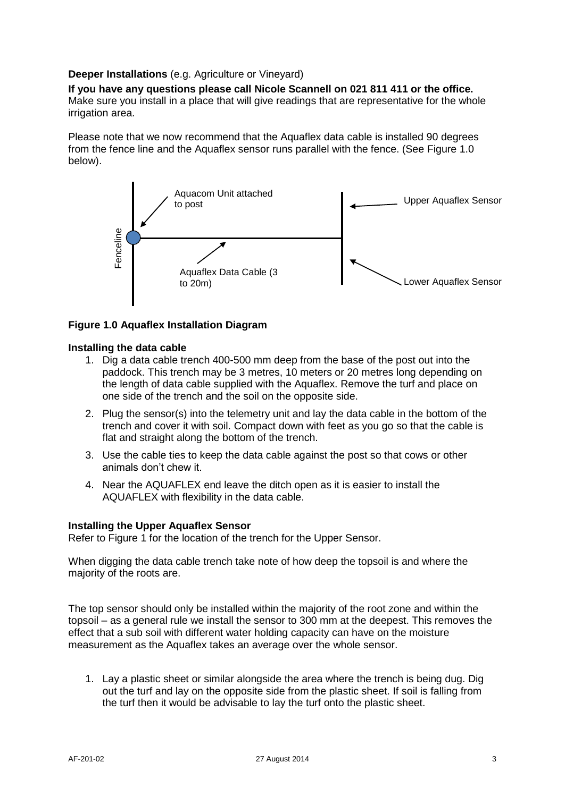#### **Deeper Installations** (e.g. Agriculture or Vineyard)

**If you have any questions please call Nicole Scannell on 021 811 411 or the office.** Make sure you install in a place that will give readings that are representative for the whole irrigation area.

Please note that we now recommend that the Aquaflex data cable is installed 90 degrees from the fence line and the Aquaflex sensor runs parallel with the fence. (See Figure 1.0 below).



#### **Figure 1.0 Aquaflex Installation Diagram**

#### **Installing the data cable**

- 1. Dig a data cable trench 400-500 mm deep from the base of the post out into the paddock. This trench may be 3 metres, 10 meters or 20 metres long depending on the length of data cable supplied with the Aquaflex. Remove the turf and place on one side of the trench and the soil on the opposite side.
- 2. Plug the sensor(s) into the telemetry unit and lay the data cable in the bottom of the trench and cover it with soil. Compact down with feet as you go so that the cable is flat and straight along the bottom of the trench.
- 3. Use the cable ties to keep the data cable against the post so that cows or other animals don't chew it.
- 4. Near the AQUAFLEX end leave the ditch open as it is easier to install the AQUAFLEX with flexibility in the data cable.

#### **Installing the Upper Aquaflex Sensor**

Refer to Figure 1 for the location of the trench for the Upper Sensor.

When digging the data cable trench take note of how deep the topsoil is and where the majority of the roots are.

The top sensor should only be installed within the majority of the root zone and within the topsoil – as a general rule we install the sensor to 300 mm at the deepest. This removes the effect that a sub soil with different water holding capacity can have on the moisture measurement as the Aquaflex takes an average over the whole sensor.

1. Lay a plastic sheet or similar alongside the area where the trench is being dug. Dig out the turf and lay on the opposite side from the plastic sheet. If soil is falling from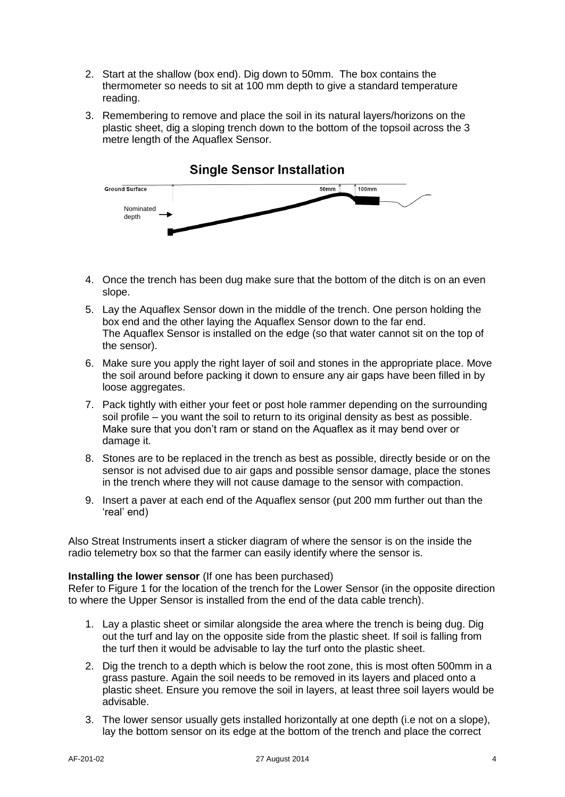- 2. Start at the shallow (box end). Dig down to 50mm. The box contains the thermometer so needs to sit at 100 mm depth to give a standard temperature reading.
- 3. Remembering to remove and place the soil in its natural layers/horizons on the plastic sheet, dig a sloping trench down to the bottom of the topsoil across the 3 metre length of the Aquaflex Sensor.



- 4. Once the trench has been dug make sure that the bottom of the ditch is on an even slope.
- 5. Lay the Aquaflex Sensor down in the middle of the trench. One person holding the box end and the other laying the Aquaflex Sensor down to the far end. The Aquaflex Sensor is installed on the edge (so that water cannot sit on the top of the sensor).
- 6. Make sure you apply the right layer of soil and stones in the appropriate place. Move the soil around before packing it down to ensure any air gaps have been filled in by loose aggregates.
- 7. Pack tightly with either your feet or post hole rammer depending on the surrounding soil profile – you want the soil to return to its original density as best as possible. Make sure that you don't ram or stand on the Aquaflex as it may bend over or damage it.
- 8. Stones are to be replaced in the trench as best as possible, directly beside or on the sensor is not advised due to air gaps and possible sensor damage, place the stones in the trench where they will not cause damage to the sensor with compaction.
- 9. Insert a paver at each end of the Aquaflex sensor (put 200 mm further out than the 'real' end)

Also Streat Instruments insert a sticker diagram of where the sensor is on the inside the radio telemetry box so that the farmer can easily identify where the sensor is.

# **Installing the lower sensor** (If one has been purchased)

Refer to Figure 1 for the location of the trench for the Lower Sensor (in the opposite direction to where the Upper Sensor is installed from the end of the data cable trench).

- 1. Lay a plastic sheet or similar alongside the area where the trench is being dug. Dig out the turf and lay on the opposite side from the plastic sheet. If soil is falling from the turf then it would be advisable to lay the turf onto the plastic sheet.
- 2. Dig the trench to a depth which is below the root zone, this is most often 500mm in a grass pasture. Again the soil needs to be removed in its layers and placed onto a plastic sheet. Ensure you remove the soil in layers, at least three soil layers would be advisable.
- 3. The lower sensor usually gets installed horizontally at one depth (i.e not on a slope), lay the bottom sensor on its edge at the bottom of the trench and place the correct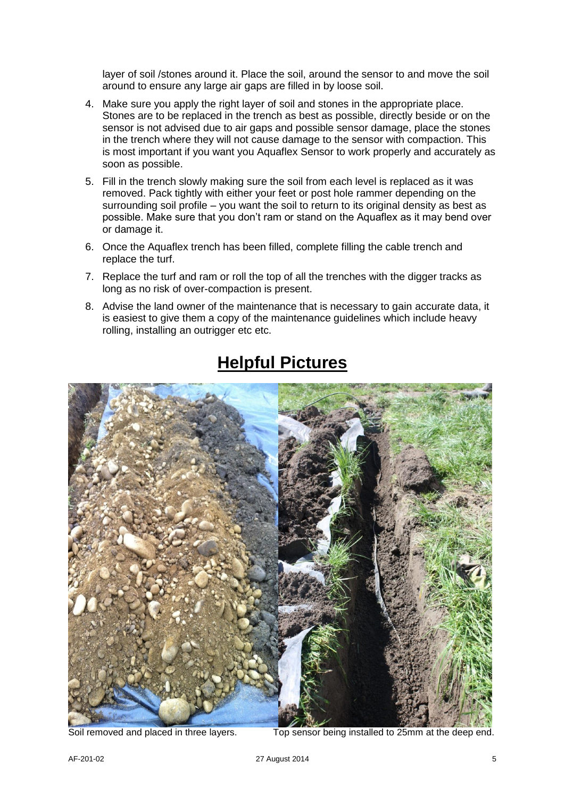layer of soil /stones around it. Place the soil, around the sensor to and move the soil around to ensure any large air gaps are filled in by loose soil.

- 4. Make sure you apply the right layer of soil and stones in the appropriate place. Stones are to be replaced in the trench as best as possible, directly beside or on the sensor is not advised due to air gaps and possible sensor damage, place the stones in the trench where they will not cause damage to the sensor with compaction. This is most important if you want you Aquaflex Sensor to work properly and accurately as soon as possible.
- 5. Fill in the trench slowly making sure the soil from each level is replaced as it was removed. Pack tightly with either your feet or post hole rammer depending on the surrounding soil profile – you want the soil to return to its original density as best as possible. Make sure that you don't ram or stand on the Aquaflex as it may bend over or damage it.
- 6. Once the Aquaflex trench has been filled, complete filling the cable trench and replace the turf.
- 7. Replace the turf and ram or roll the top of all the trenches with the digger tracks as long as no risk of over-compaction is present.
- 8. Advise the land owner of the maintenance that is necessary to gain accurate data, it is easiest to give them a copy of the maintenance guidelines which include heavy rolling, installing an outrigger etc etc.



# **Helpful Pictures**

Soil removed and placed in three layers. Top sensor being installed to 25mm at the deep end.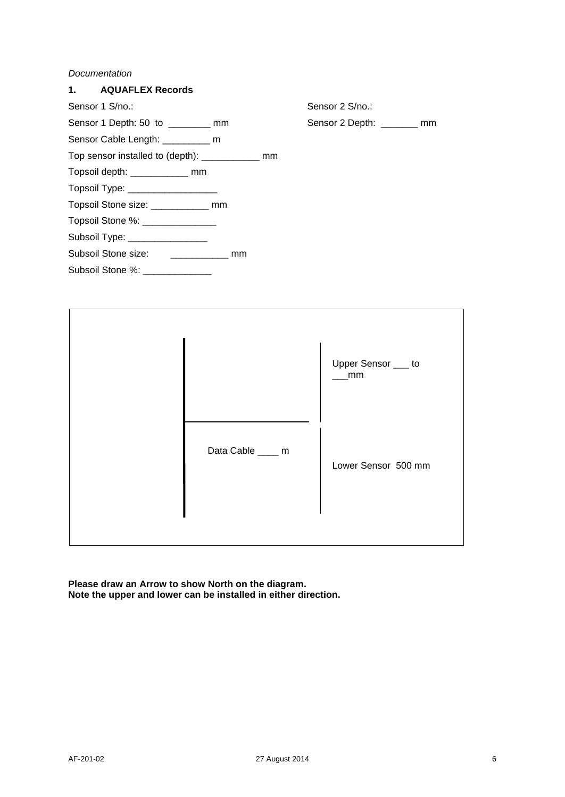#### *Documentation*





**Please draw an Arrow to show North on the diagram. Note the upper and lower can be installed in either direction.**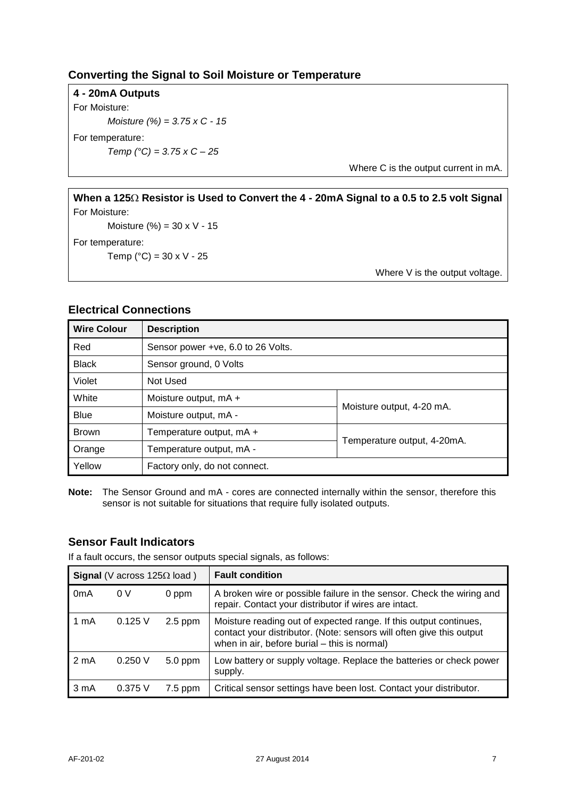# **Converting the Signal to Soil Moisture or Temperature**

**4 - 20mA Outputs** For Moisture: *Moisture (%) = 3.75 x C - 15* For temperature: *Temp (°C) = 3.75 x C – 25*

Where C is the output current in mA.

**When a 125 Resistor is Used to Convert the 4 - 20mA Signal to a 0.5 to 2.5 volt Signal** For Moisture:

Moisture  $(\% ) = 30 \times V - 15$ 

For temperature:

Temp ( $^{\circ}$ C) = 30 x V - 25

Where V is the output voltage.

# **Electrical Connections**

| <b>Wire Colour</b> | <b>Description</b>                                      |  |  |
|--------------------|---------------------------------------------------------|--|--|
| Red                | Sensor power +ve, 6.0 to 26 Volts.                      |  |  |
| <b>Black</b>       | Sensor ground, 0 Volts                                  |  |  |
| Violet             | Not Used                                                |  |  |
| White              | Moisture output, mA +                                   |  |  |
| <b>Blue</b>        | Moisture output, 4-20 mA.<br>Moisture output, mA -      |  |  |
| <b>Brown</b>       | Temperature output, mA +                                |  |  |
| Orange             | Temperature output, 4-20mA.<br>Temperature output, mA - |  |  |
| Yellow             | Factory only, do not connect.                           |  |  |

**Note:** The Sensor Ground and mA - cores are connected internally within the sensor, therefore this sensor is not suitable for situations that require fully isolated outputs.

# **Sensor Fault Indicators**

If a fault occurs, the sensor outputs special signals, as follows:

| <b>Signal</b> (V across $125\Omega$ load) |           |           | <b>Fault condition</b>                                                                                                                                                                    |
|-------------------------------------------|-----------|-----------|-------------------------------------------------------------------------------------------------------------------------------------------------------------------------------------------|
| 0 <sub>m</sub> A                          | 0V        | 0 ppm     | A broken wire or possible failure in the sensor. Check the wiring and<br>repair. Contact your distributor if wires are intact.                                                            |
| 1 mA                                      | $0.125$ V | $2.5$ ppm | Moisture reading out of expected range. If this output continues,<br>contact your distributor. (Note: sensors will often give this output<br>when in air, before burial – this is normal) |
| 2 <sub>m</sub> A                          | 0.250V    | $5.0$ ppm | Low battery or supply voltage. Replace the batteries or check power<br>supply.                                                                                                            |
| 3 <sub>m</sub> A                          | 0.375V    | $7.5$ ppm | Critical sensor settings have been lost. Contact your distributor.                                                                                                                        |